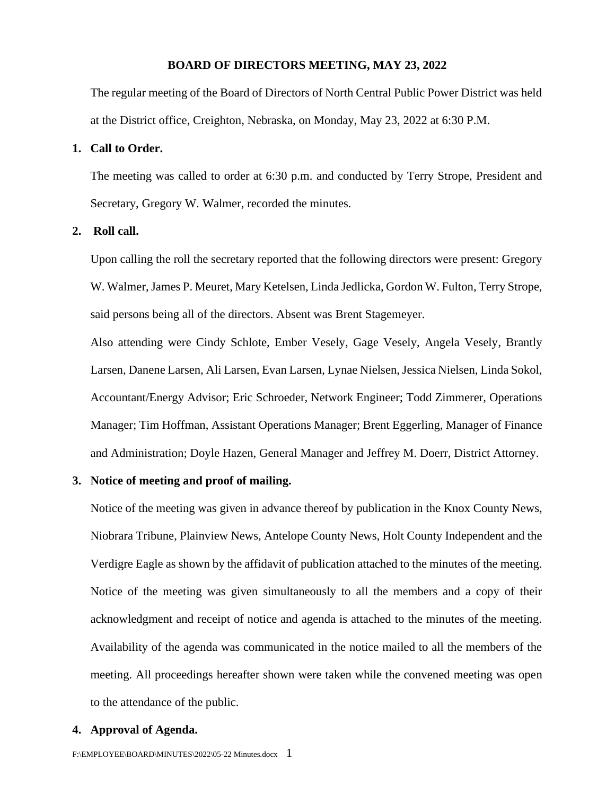#### **BOARD OF DIRECTORS MEETING, MAY 23, 2022**

The regular meeting of the Board of Directors of North Central Public Power District was held at the District office, Creighton, Nebraska, on Monday, May 23, 2022 at 6:30 P.M.

#### **1. Call to Order.**

The meeting was called to order at 6:30 p.m. and conducted by Terry Strope, President and Secretary, Gregory W. Walmer, recorded the minutes.

#### **2. Roll call.**

Upon calling the roll the secretary reported that the following directors were present: Gregory W. Walmer, James P. Meuret, Mary Ketelsen, Linda Jedlicka, Gordon W. Fulton, Terry Strope, said persons being all of the directors. Absent was Brent Stagemeyer.

Also attending were Cindy Schlote, Ember Vesely, Gage Vesely, Angela Vesely, Brantly Larsen, Danene Larsen, Ali Larsen, Evan Larsen, Lynae Nielsen, Jessica Nielsen, Linda Sokol, Accountant/Energy Advisor; Eric Schroeder, Network Engineer; Todd Zimmerer, Operations Manager; Tim Hoffman, Assistant Operations Manager; Brent Eggerling, Manager of Finance and Administration; Doyle Hazen, General Manager and Jeffrey M. Doerr, District Attorney.

#### **3. Notice of meeting and proof of mailing.**

Notice of the meeting was given in advance thereof by publication in the Knox County News, Niobrara Tribune, Plainview News, Antelope County News, Holt County Independent and the Verdigre Eagle as shown by the affidavit of publication attached to the minutes of the meeting. Notice of the meeting was given simultaneously to all the members and a copy of their acknowledgment and receipt of notice and agenda is attached to the minutes of the meeting. Availability of the agenda was communicated in the notice mailed to all the members of the meeting. All proceedings hereafter shown were taken while the convened meeting was open to the attendance of the public.

#### **4. Approval of Agenda.**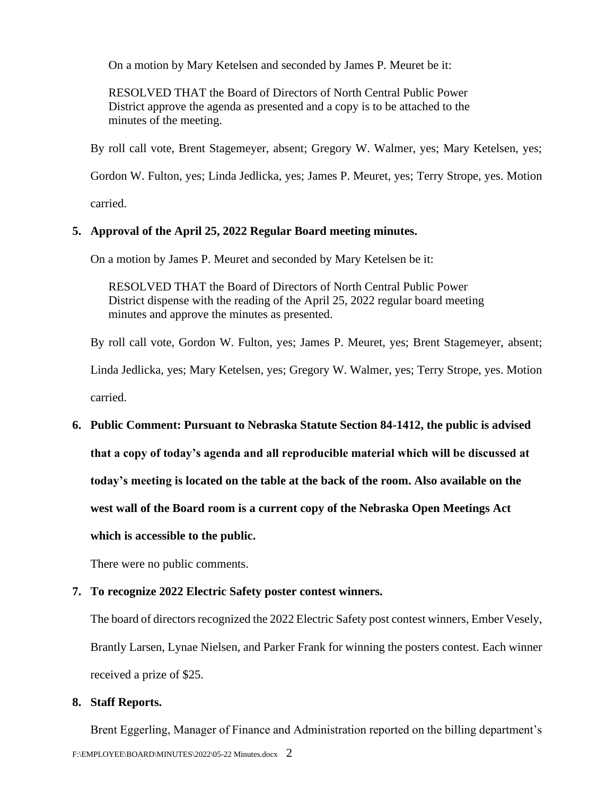On a motion by Mary Ketelsen and seconded by James P. Meuret be it:

RESOLVED THAT the Board of Directors of North Central Public Power District approve the agenda as presented and a copy is to be attached to the minutes of the meeting.

By roll call vote, Brent Stagemeyer, absent; Gregory W. Walmer, yes; Mary Ketelsen, yes;

Gordon W. Fulton, yes; Linda Jedlicka, yes; James P. Meuret, yes; Terry Strope, yes. Motion

carried.

#### **5. Approval of the April 25, 2022 Regular Board meeting minutes.**

On a motion by James P. Meuret and seconded by Mary Ketelsen be it:

RESOLVED THAT the Board of Directors of North Central Public Power District dispense with the reading of the April 25, 2022 regular board meeting minutes and approve the minutes as presented.

By roll call vote, Gordon W. Fulton, yes; James P. Meuret, yes; Brent Stagemeyer, absent;

Linda Jedlicka, yes; Mary Ketelsen, yes; Gregory W. Walmer, yes; Terry Strope, yes. Motion carried.

# **6. Public Comment: Pursuant to Nebraska Statute Section 84-1412, the public is advised**

**that a copy of today's agenda and all reproducible material which will be discussed at** 

**today's meeting is located on the table at the back of the room. Also available on the** 

**west wall of the Board room is a current copy of the Nebraska Open Meetings Act** 

**which is accessible to the public.**

There were no public comments.

#### **7. To recognize 2022 Electric Safety poster contest winners.**

The board of directors recognized the 2022 Electric Safety post contest winners, Ember Vesely, Brantly Larsen, Lynae Nielsen, and Parker Frank for winning the posters contest. Each winner received a prize of \$25.

#### **8. Staff Reports.**

F:\EMPLOYEE\BOARD\MINUTES\2022\05-22 Minutes.docx 2 Brent Eggerling, Manager of Finance and Administration reported on the billing department's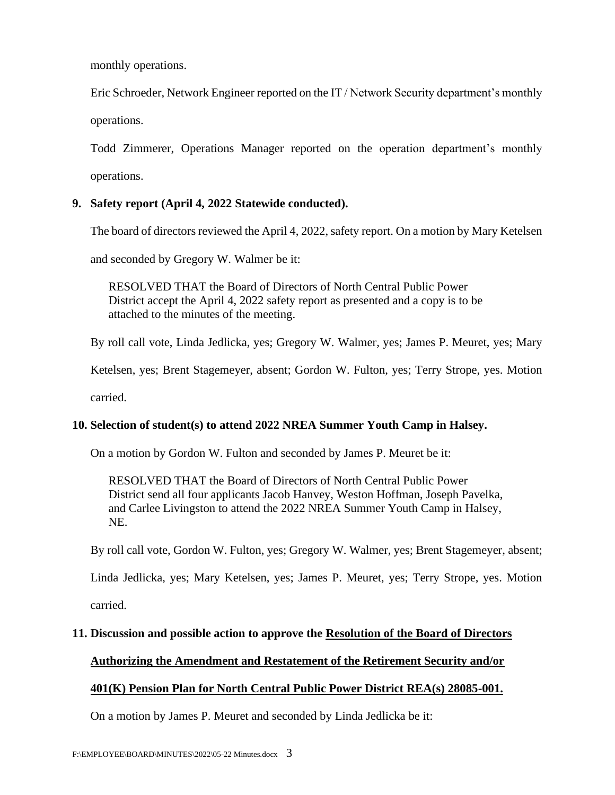monthly operations.

Eric Schroeder, Network Engineer reported on the IT / Network Security department's monthly operations.

Todd Zimmerer, Operations Manager reported on the operation department's monthly operations.

# **9. Safety report (April 4, 2022 Statewide conducted).**

The board of directors reviewed the April 4, 2022, safety report. On a motion by Mary Ketelsen

and seconded by Gregory W. Walmer be it:

RESOLVED THAT the Board of Directors of North Central Public Power District accept the April 4, 2022 safety report as presented and a copy is to be attached to the minutes of the meeting.

By roll call vote, Linda Jedlicka, yes; Gregory W. Walmer, yes; James P. Meuret, yes; Mary

Ketelsen, yes; Brent Stagemeyer, absent; Gordon W. Fulton, yes; Terry Strope, yes. Motion

carried.

# **10. Selection of student(s) to attend 2022 NREA Summer Youth Camp in Halsey.**

On a motion by Gordon W. Fulton and seconded by James P. Meuret be it:

RESOLVED THAT the Board of Directors of North Central Public Power District send all four applicants Jacob Hanvey, Weston Hoffman, Joseph Pavelka, and Carlee Livingston to attend the 2022 NREA Summer Youth Camp in Halsey, NE.

By roll call vote, Gordon W. Fulton, yes; Gregory W. Walmer, yes; Brent Stagemeyer, absent;

Linda Jedlicka, yes; Mary Ketelsen, yes; James P. Meuret, yes; Terry Strope, yes. Motion carried.

# **11. Discussion and possible action to approve the Resolution of the Board of Directors**

# **Authorizing the Amendment and Restatement of the Retirement Security and/or**

# **401(K) Pension Plan for North Central Public Power District REA(s) 28085-001.**

On a motion by James P. Meuret and seconded by Linda Jedlicka be it: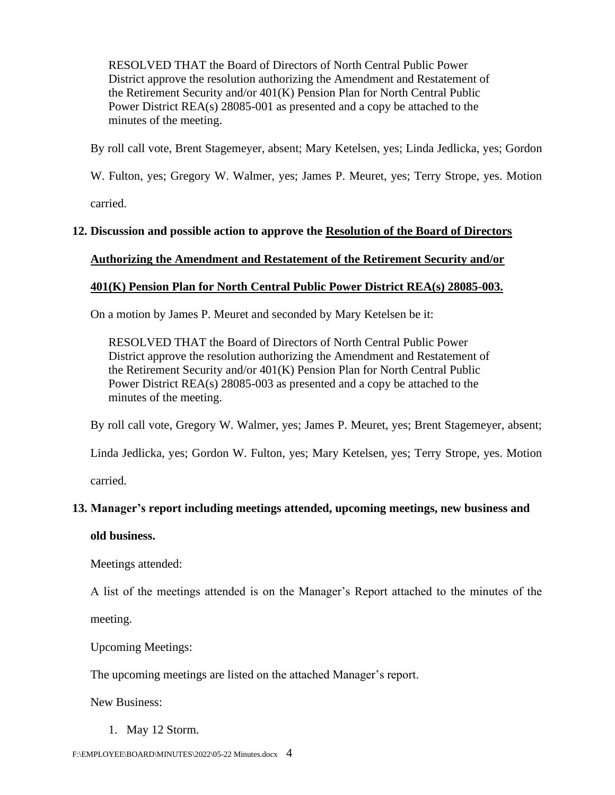RESOLVED THAT the Board of Directors of North Central Public Power District approve the resolution authorizing the Amendment and Restatement of the Retirement Security and/or 401(K) Pension Plan for North Central Public Power District REA(s) 28085-001 as presented and a copy be attached to the minutes of the meeting.

By roll call vote, Brent Stagemeyer, absent; Mary Ketelsen, yes; Linda Jedlicka, yes; Gordon

W. Fulton, yes; Gregory W. Walmer, yes; James P. Meuret, yes; Terry Strope, yes. Motion

carried.

# **12. Discussion and possible action to approve the Resolution of the Board of Directors**

### **Authorizing the Amendment and Restatement of the Retirement Security and/or**

### **401(K) Pension Plan for North Central Public Power District REA(s) 28085-003.**

On a motion by James P. Meuret and seconded by Mary Ketelsen be it:

RESOLVED THAT the Board of Directors of North Central Public Power District approve the resolution authorizing the Amendment and Restatement of the Retirement Security and/or 401(K) Pension Plan for North Central Public Power District REA(s) 28085-003 as presented and a copy be attached to the minutes of the meeting.

By roll call vote, Gregory W. Walmer, yes; James P. Meuret, yes; Brent Stagemeyer, absent;

Linda Jedlicka, yes; Gordon W. Fulton, yes; Mary Ketelsen, yes; Terry Strope, yes. Motion

carried.

# **13. Manager's report including meetings attended, upcoming meetings, new business and**

#### **old business.**

Meetings attended:

A list of the meetings attended is on the Manager's Report attached to the minutes of the

meeting.

Upcoming Meetings:

The upcoming meetings are listed on the attached Manager's report.

New Business:

1. May 12 Storm.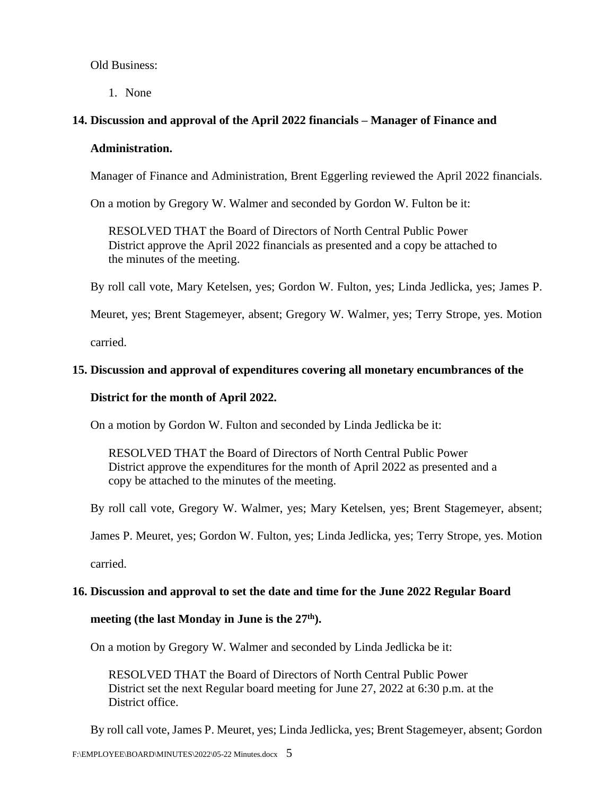Old Business:

1. None

# **14. Discussion and approval of the April 2022 financials – Manager of Finance and**

#### **Administration.**

Manager of Finance and Administration, Brent Eggerling reviewed the April 2022 financials.

On a motion by Gregory W. Walmer and seconded by Gordon W. Fulton be it:

RESOLVED THAT the Board of Directors of North Central Public Power District approve the April 2022 financials as presented and a copy be attached to the minutes of the meeting.

By roll call vote, Mary Ketelsen, yes; Gordon W. Fulton, yes; Linda Jedlicka, yes; James P.

Meuret, yes; Brent Stagemeyer, absent; Gregory W. Walmer, yes; Terry Strope, yes. Motion

carried.

# **15. Discussion and approval of expenditures covering all monetary encumbrances of the**

### **District for the month of April 2022.**

On a motion by Gordon W. Fulton and seconded by Linda Jedlicka be it:

RESOLVED THAT the Board of Directors of North Central Public Power District approve the expenditures for the month of April 2022 as presented and a copy be attached to the minutes of the meeting.

By roll call vote, Gregory W. Walmer, yes; Mary Ketelsen, yes; Brent Stagemeyer, absent;

James P. Meuret, yes; Gordon W. Fulton, yes; Linda Jedlicka, yes; Terry Strope, yes. Motion

carried.

#### **16. Discussion and approval to set the date and time for the June 2022 Regular Board**

# **meeting (the last Monday in June is the 27th).**

On a motion by Gregory W. Walmer and seconded by Linda Jedlicka be it:

RESOLVED THAT the Board of Directors of North Central Public Power District set the next Regular board meeting for June 27, 2022 at 6:30 p.m. at the District office.

By roll call vote, James P. Meuret, yes; Linda Jedlicka, yes; Brent Stagemeyer, absent; Gordon